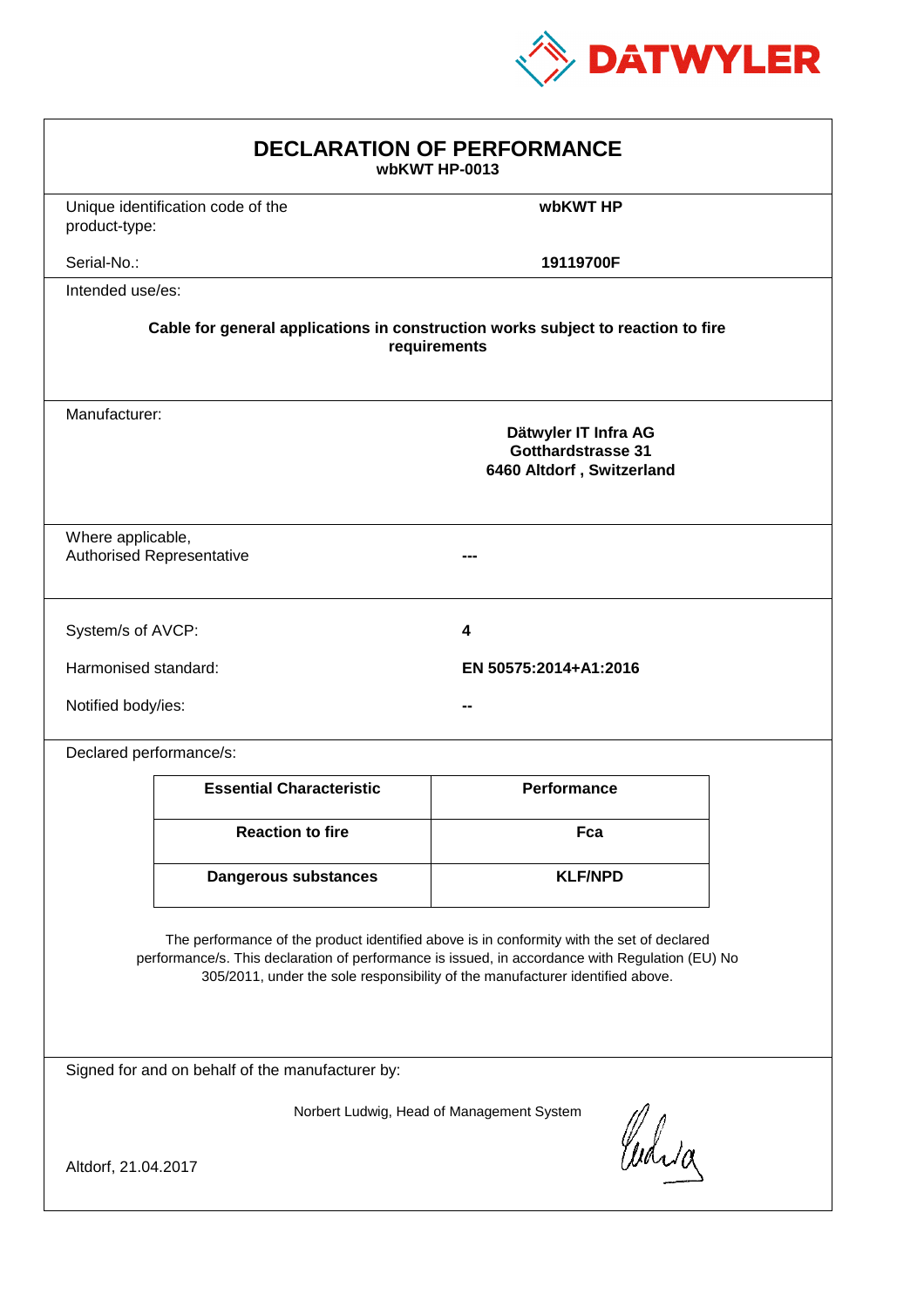

| <b>DECLARATION OF PERFORMANCE</b><br>wbKWT HP-0013                                                                                                                                                                                                                            |                                               |                    |  |
|-------------------------------------------------------------------------------------------------------------------------------------------------------------------------------------------------------------------------------------------------------------------------------|-----------------------------------------------|--------------------|--|
| product-type:                                                                                                                                                                                                                                                                 | Unique identification code of the             | wbKWT HP           |  |
| Serial-No.:                                                                                                                                                                                                                                                                   |                                               | 19119700F          |  |
| Intended use/es:                                                                                                                                                                                                                                                              |                                               |                    |  |
| Cable for general applications in construction works subject to reaction to fire<br>requirements                                                                                                                                                                              |                                               |                    |  |
| Manufacturer:<br>Dätwyler IT Infra AG<br><b>Gotthardstrasse 31</b><br>6460 Altdorf, Switzerland                                                                                                                                                                               |                                               |                    |  |
| Where applicable,<br><b>Authorised Representative</b>                                                                                                                                                                                                                         |                                               |                    |  |
| System/s of AVCP:                                                                                                                                                                                                                                                             |                                               | 4                  |  |
|                                                                                                                                                                                                                                                                               | Harmonised standard:<br>EN 50575:2014+A1:2016 |                    |  |
|                                                                                                                                                                                                                                                                               | Notified body/ies:                            |                    |  |
| Declared performance/s:                                                                                                                                                                                                                                                       |                                               |                    |  |
|                                                                                                                                                                                                                                                                               | <b>Essential Characteristic</b>               | <b>Performance</b> |  |
|                                                                                                                                                                                                                                                                               | <b>Reaction to fire</b>                       | Fca                |  |
|                                                                                                                                                                                                                                                                               | <b>Dangerous substances</b>                   | <b>KLF/NPD</b>     |  |
| The performance of the product identified above is in conformity with the set of declared<br>performance/s. This declaration of performance is issued, in accordance with Regulation (EU) No<br>305/2011, under the sole responsibility of the manufacturer identified above. |                                               |                    |  |
| Signed for and on behalf of the manufacturer by:                                                                                                                                                                                                                              |                                               |                    |  |
| Norbert Ludwig, Head of Management System<br>Curia<br>Altdorf, 21.04.2017                                                                                                                                                                                                     |                                               |                    |  |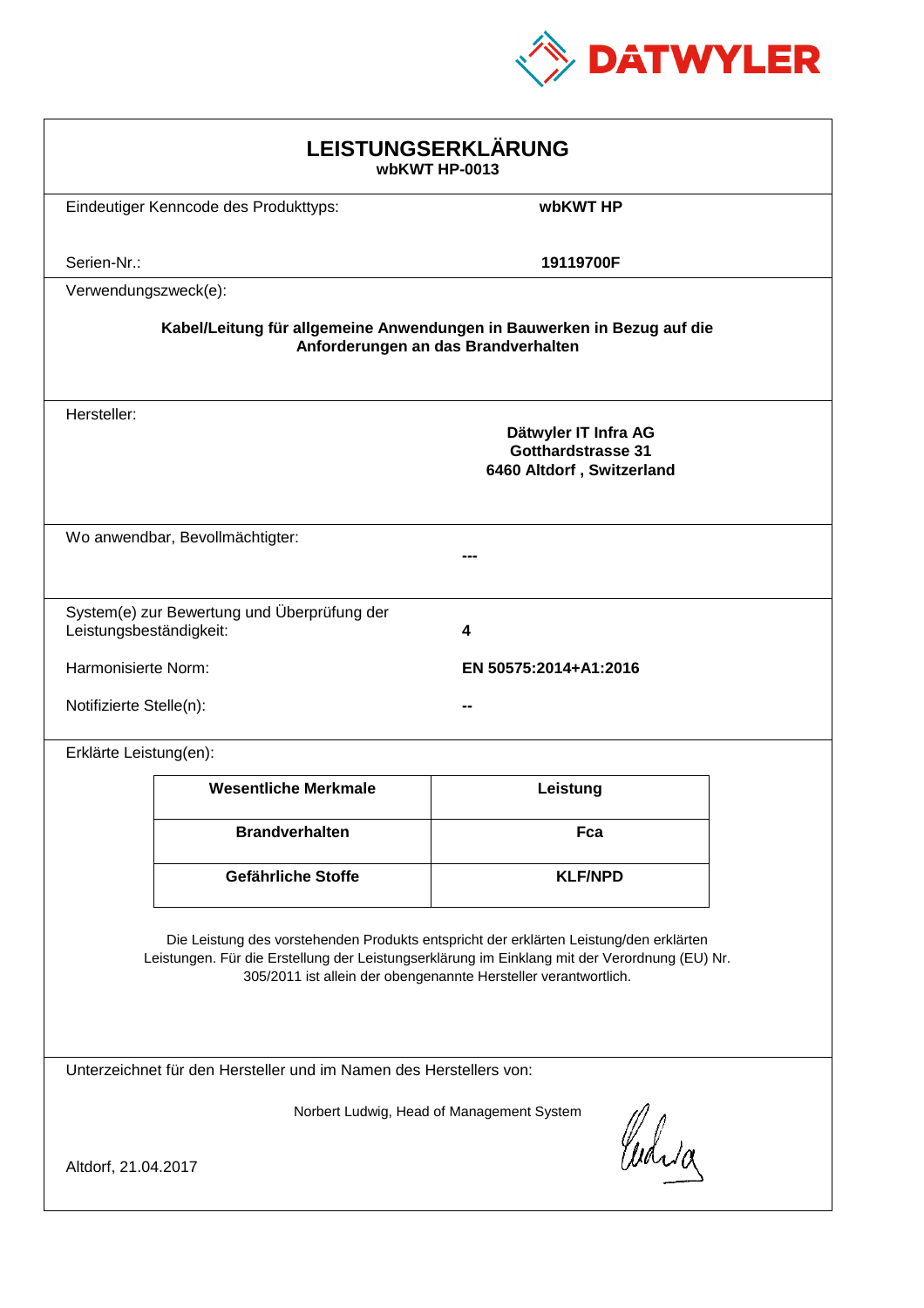

| LEISTUNGSERKLÄRUNG<br>wbKWT HP-0013                                                                                                                                                                                                                        |                                                                                |                |  |
|------------------------------------------------------------------------------------------------------------------------------------------------------------------------------------------------------------------------------------------------------------|--------------------------------------------------------------------------------|----------------|--|
|                                                                                                                                                                                                                                                            | Eindeutiger Kenncode des Produkttyps:                                          | wbKWT HP       |  |
| Serien-Nr.:                                                                                                                                                                                                                                                |                                                                                | 19119700F      |  |
| Verwendungszweck(e):                                                                                                                                                                                                                                       |                                                                                |                |  |
| Kabel/Leitung für allgemeine Anwendungen in Bauwerken in Bezug auf die<br>Anforderungen an das Brandverhalten                                                                                                                                              |                                                                                |                |  |
| Hersteller:                                                                                                                                                                                                                                                | Dätwyler IT Infra AG<br><b>Gotthardstrasse 31</b><br>6460 Altdorf, Switzerland |                |  |
| Wo anwendbar, Bevollmächtigter:                                                                                                                                                                                                                            |                                                                                |                |  |
| System(e) zur Bewertung und Überprüfung der<br>Leistungsbeständigkeit:<br>4                                                                                                                                                                                |                                                                                |                |  |
|                                                                                                                                                                                                                                                            | Harmonisierte Norm:<br>EN 50575:2014+A1:2016                                   |                |  |
|                                                                                                                                                                                                                                                            | Notifizierte Stelle(n):                                                        |                |  |
| Erklärte Leistung(en):                                                                                                                                                                                                                                     |                                                                                |                |  |
|                                                                                                                                                                                                                                                            | <b>Wesentliche Merkmale</b>                                                    | Leistung       |  |
|                                                                                                                                                                                                                                                            | <b>Brandverhalten</b>                                                          | Fca            |  |
|                                                                                                                                                                                                                                                            | Gefährliche Stoffe                                                             | <b>KLF/NPD</b> |  |
| Die Leistung des vorstehenden Produkts entspricht der erklärten Leistung/den erklärten<br>Leistungen. Für die Erstellung der Leistungserklärung im Einklang mit der Verordnung (EU) Nr.<br>305/2011 ist allein der obengenannte Hersteller verantwortlich. |                                                                                |                |  |
| Unterzeichnet für den Hersteller und im Namen des Herstellers von:                                                                                                                                                                                         |                                                                                |                |  |
| Norbert Ludwig, Head of Management System<br>Curia<br>Altdorf, 21.04.2017                                                                                                                                                                                  |                                                                                |                |  |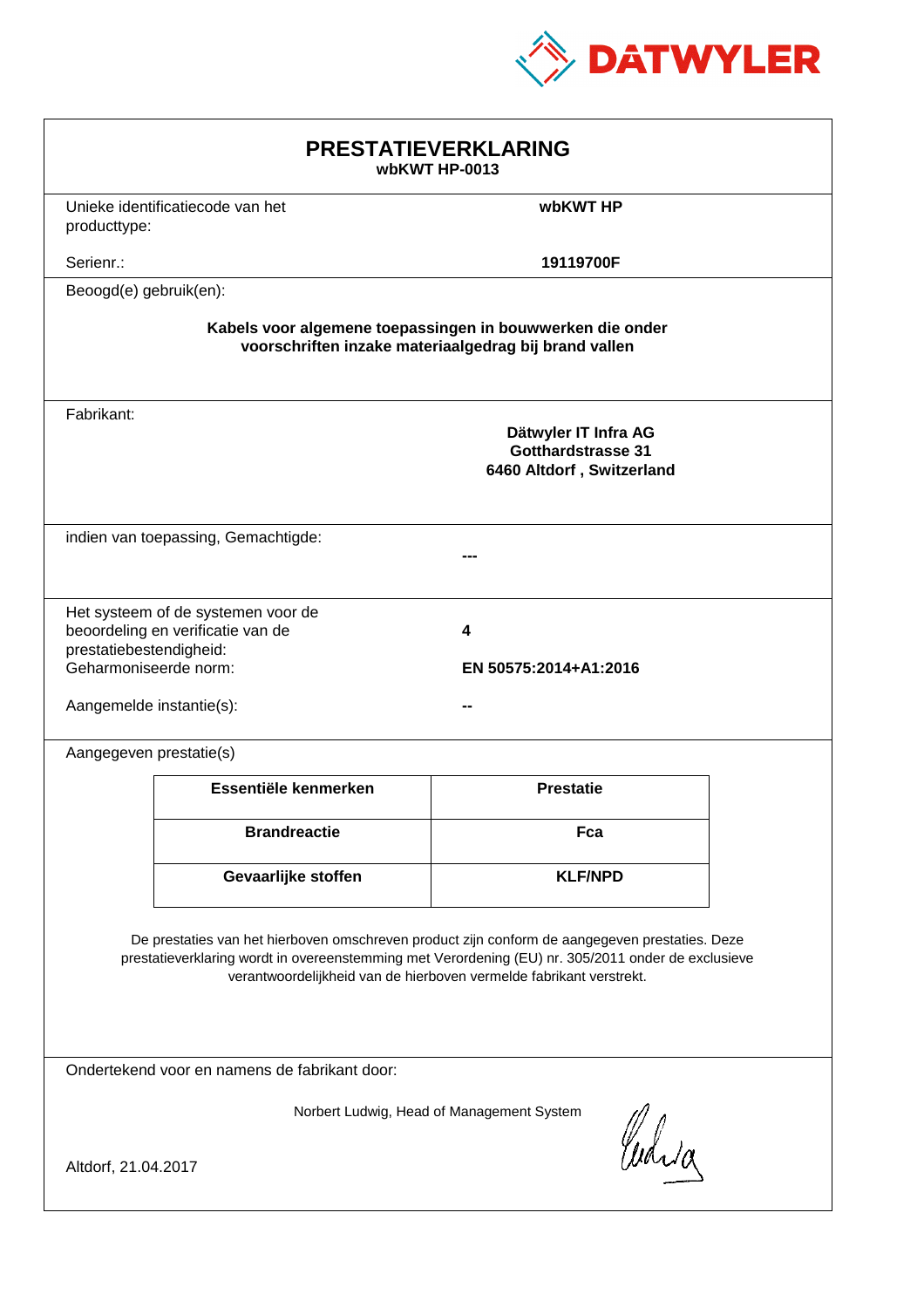

| <b>PRESTATIEVERKLARING</b><br>wbKWT HP-0013                                                                                                                                                                                                                                 |                                                                         |                  |  |
|-----------------------------------------------------------------------------------------------------------------------------------------------------------------------------------------------------------------------------------------------------------------------------|-------------------------------------------------------------------------|------------------|--|
| producttype:                                                                                                                                                                                                                                                                | Unieke identificatiecode van het<br>wbKWT HP                            |                  |  |
| Serienr.:                                                                                                                                                                                                                                                                   |                                                                         | 19119700F        |  |
| Beoogd(e) gebruik(en):                                                                                                                                                                                                                                                      |                                                                         |                  |  |
| Kabels voor algemene toepassingen in bouwwerken die onder<br>voorschriften inzake materiaalgedrag bij brand vallen                                                                                                                                                          |                                                                         |                  |  |
| Fabrikant:                                                                                                                                                                                                                                                                  | Dätwyler IT Infra AG<br>Gotthardstrasse 31<br>6460 Altdorf, Switzerland |                  |  |
| indien van toepassing, Gemachtigde:                                                                                                                                                                                                                                         |                                                                         |                  |  |
| Het systeem of de systemen voor de<br>beoordeling en verificatie van de<br>4<br>prestatiebestendigheid:<br>Geharmoniseerde norm:<br>EN 50575:2014+A1:2016<br>Aangemelde instantie(s):                                                                                       |                                                                         |                  |  |
| Aangegeven prestatie(s)                                                                                                                                                                                                                                                     |                                                                         |                  |  |
|                                                                                                                                                                                                                                                                             | Essentiële kenmerken                                                    | <b>Prestatie</b> |  |
|                                                                                                                                                                                                                                                                             | <b>Brandreactie</b>                                                     | Fca              |  |
|                                                                                                                                                                                                                                                                             | Gevaarlijke stoffen                                                     | <b>KLF/NPD</b>   |  |
| De prestaties van het hierboven omschreven product zijn conform de aangegeven prestaties. Deze<br>prestatieverklaring wordt in overeenstemming met Verordening (EU) nr. 305/2011 onder de exclusieve<br>verantwoordelijkheid van de hierboven vermelde fabrikant verstrekt. |                                                                         |                  |  |
| Ondertekend voor en namens de fabrikant door:                                                                                                                                                                                                                               |                                                                         |                  |  |
| Norbert Ludwig, Head of Management System<br>Curia<br>Altdorf, 21.04.2017                                                                                                                                                                                                   |                                                                         |                  |  |
|                                                                                                                                                                                                                                                                             |                                                                         |                  |  |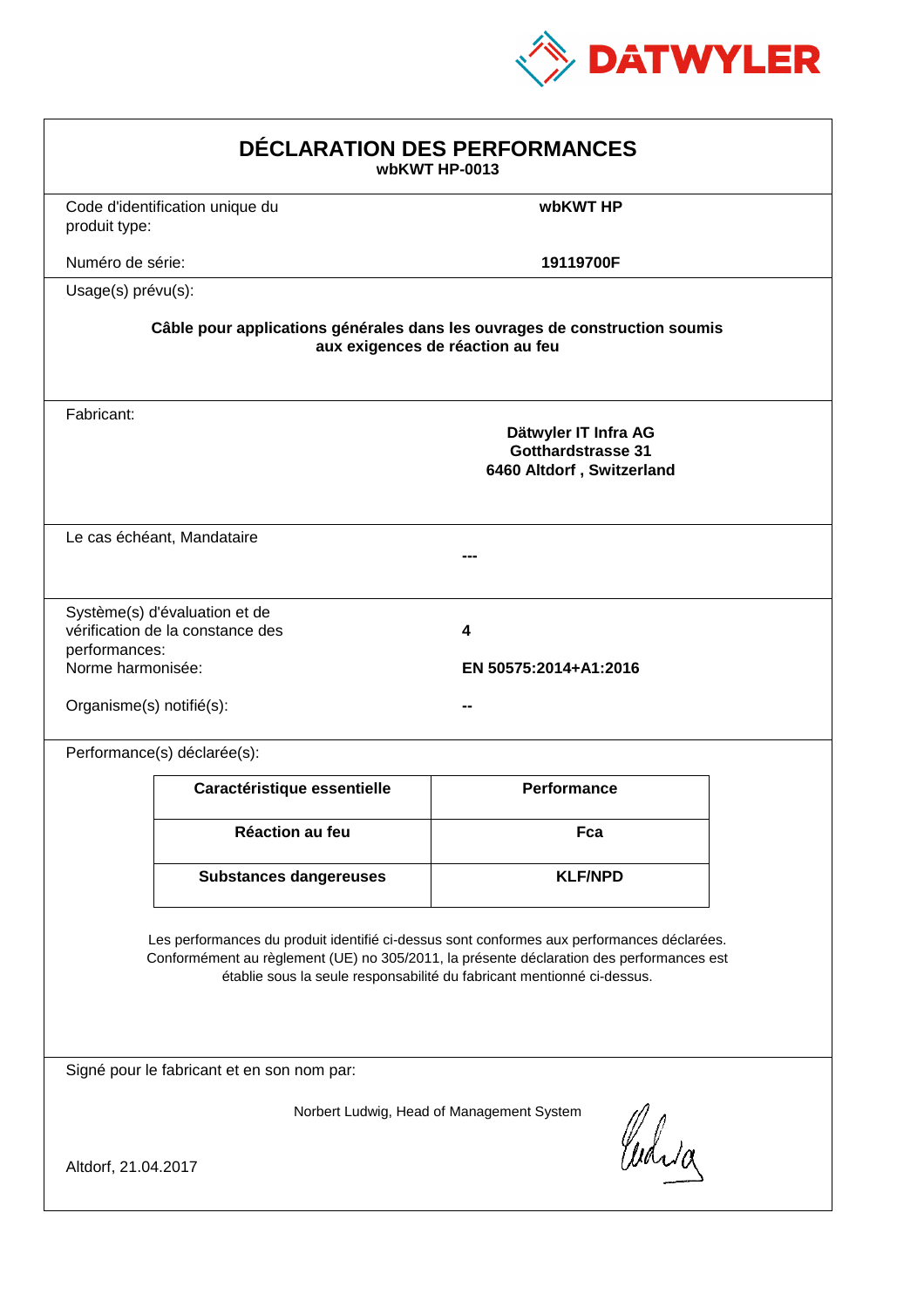

| DÉCLARATION DES PERFORMANCES<br>wbKWT HP-0013                                                                                                                                                                                                                    |                                                                   |                                                                         |  |
|------------------------------------------------------------------------------------------------------------------------------------------------------------------------------------------------------------------------------------------------------------------|-------------------------------------------------------------------|-------------------------------------------------------------------------|--|
| produit type:                                                                                                                                                                                                                                                    | Code d'identification unique du                                   | wbKWT HP                                                                |  |
| Numéro de série:                                                                                                                                                                                                                                                 |                                                                   | 19119700F                                                               |  |
| Usage(s) prévu(s):                                                                                                                                                                                                                                               |                                                                   |                                                                         |  |
| Câble pour applications générales dans les ouvrages de construction soumis<br>aux exigences de réaction au feu                                                                                                                                                   |                                                                   |                                                                         |  |
| Fabricant:                                                                                                                                                                                                                                                       |                                                                   | Dätwyler IT Infra AG<br>Gotthardstrasse 31<br>6460 Altdorf, Switzerland |  |
|                                                                                                                                                                                                                                                                  | Le cas échéant, Mandataire                                        |                                                                         |  |
| performances:<br>Norme harmonisée:<br>Organisme(s) notifié(s):                                                                                                                                                                                                   | Système(s) d'évaluation et de<br>vérification de la constance des | 4<br>EN 50575:2014+A1:2016                                              |  |
|                                                                                                                                                                                                                                                                  | Performance(s) déclarée(s):                                       |                                                                         |  |
|                                                                                                                                                                                                                                                                  | Caractéristique essentielle                                       | <b>Performance</b>                                                      |  |
|                                                                                                                                                                                                                                                                  | Réaction au feu                                                   | Fca                                                                     |  |
|                                                                                                                                                                                                                                                                  | <b>Substances dangereuses</b>                                     | <b>KLF/NPD</b>                                                          |  |
| Les performances du produit identifié ci-dessus sont conformes aux performances déclarées.<br>Conformément au règlement (UE) no 305/2011, la présente déclaration des performances est<br>établie sous la seule responsabilité du fabricant mentionné ci-dessus. |                                                                   |                                                                         |  |
| Signé pour le fabricant et en son nom par:                                                                                                                                                                                                                       |                                                                   |                                                                         |  |
| Norbert Ludwig, Head of Management System<br>Curia<br>Altdorf, 21.04.2017                                                                                                                                                                                        |                                                                   |                                                                         |  |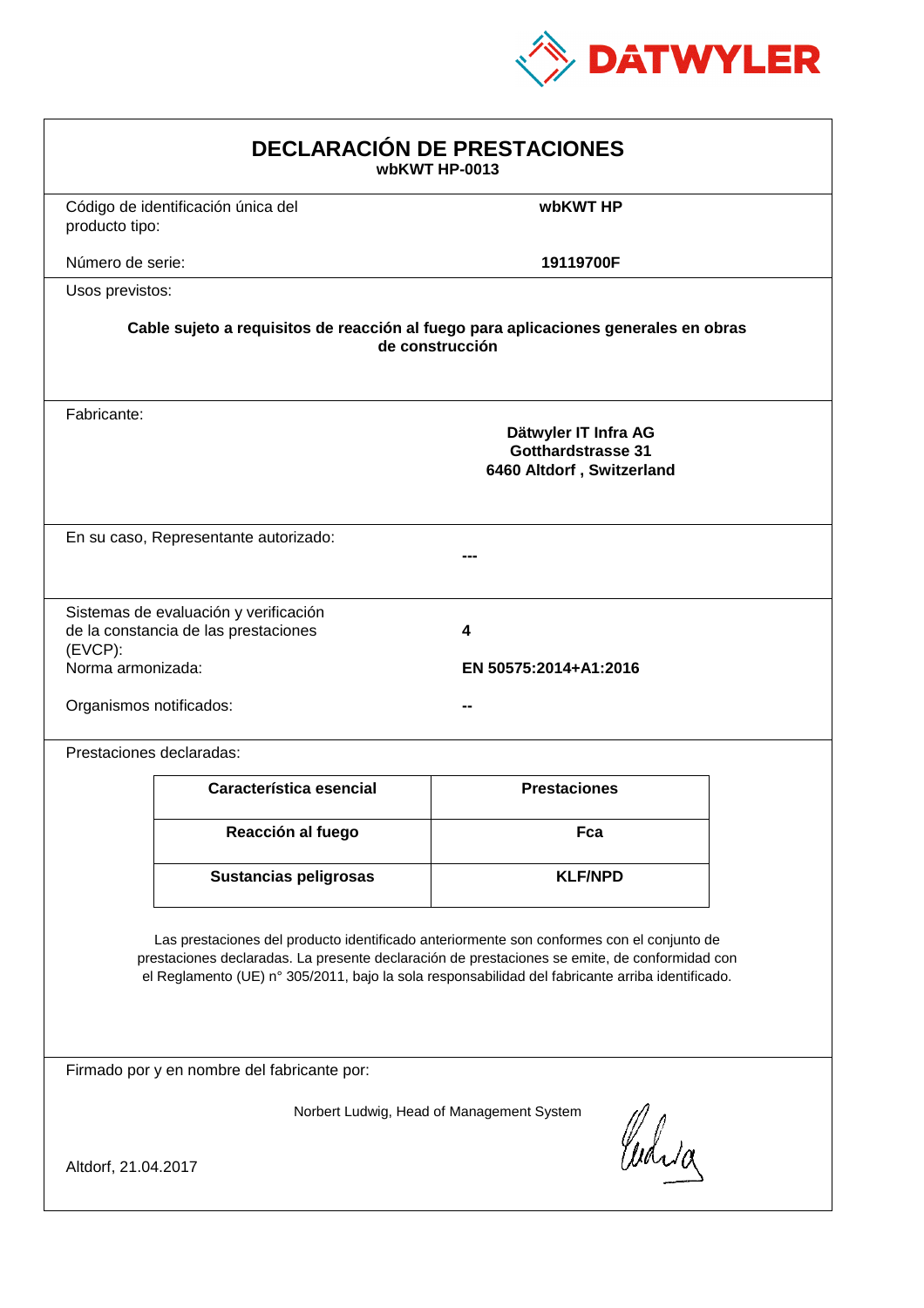

| <b>DECLARACIÓN DE PRESTACIONES</b><br>wbKWT HP-0013                                                                                                                                                                                                                                            |                                                                                |                            |  |
|------------------------------------------------------------------------------------------------------------------------------------------------------------------------------------------------------------------------------------------------------------------------------------------------|--------------------------------------------------------------------------------|----------------------------|--|
| producto tipo:                                                                                                                                                                                                                                                                                 | Código de identificación única del                                             | wbKWT HP                   |  |
| Número de serie:                                                                                                                                                                                                                                                                               |                                                                                | 19119700F                  |  |
| Usos previstos:                                                                                                                                                                                                                                                                                |                                                                                |                            |  |
| Cable sujeto a requisitos de reacción al fuego para aplicaciones generales en obras<br>de construcción                                                                                                                                                                                         |                                                                                |                            |  |
| Fabricante:                                                                                                                                                                                                                                                                                    | Dätwyler IT Infra AG<br><b>Gotthardstrasse 31</b><br>6460 Altdorf, Switzerland |                            |  |
| En su caso, Representante autorizado:                                                                                                                                                                                                                                                          |                                                                                |                            |  |
| $(EVCP)$ :<br>Norma armonizada:<br>Organismos notificados:                                                                                                                                                                                                                                     | Sistemas de evaluación y verificación<br>de la constancia de las prestaciones  | 4<br>EN 50575:2014+A1:2016 |  |
|                                                                                                                                                                                                                                                                                                | Prestaciones declaradas:                                                       |                            |  |
|                                                                                                                                                                                                                                                                                                | Característica esencial                                                        | <b>Prestaciones</b>        |  |
|                                                                                                                                                                                                                                                                                                | Reacción al fuego                                                              | Fca                        |  |
|                                                                                                                                                                                                                                                                                                | <b>Sustancias peligrosas</b>                                                   | <b>KLF/NPD</b>             |  |
| Las prestaciones del producto identificado anteriormente son conformes con el conjunto de<br>prestaciones declaradas. La presente declaración de prestaciones se emite, de conformidad con<br>el Reglamento (UE) nº 305/2011, bajo la sola responsabilidad del fabricante arriba identificado. |                                                                                |                            |  |
| Firmado por y en nombre del fabricante por:                                                                                                                                                                                                                                                    |                                                                                |                            |  |
| Norbert Ludwig, Head of Management System<br>Curia<br>Altdorf, 21.04.2017                                                                                                                                                                                                                      |                                                                                |                            |  |